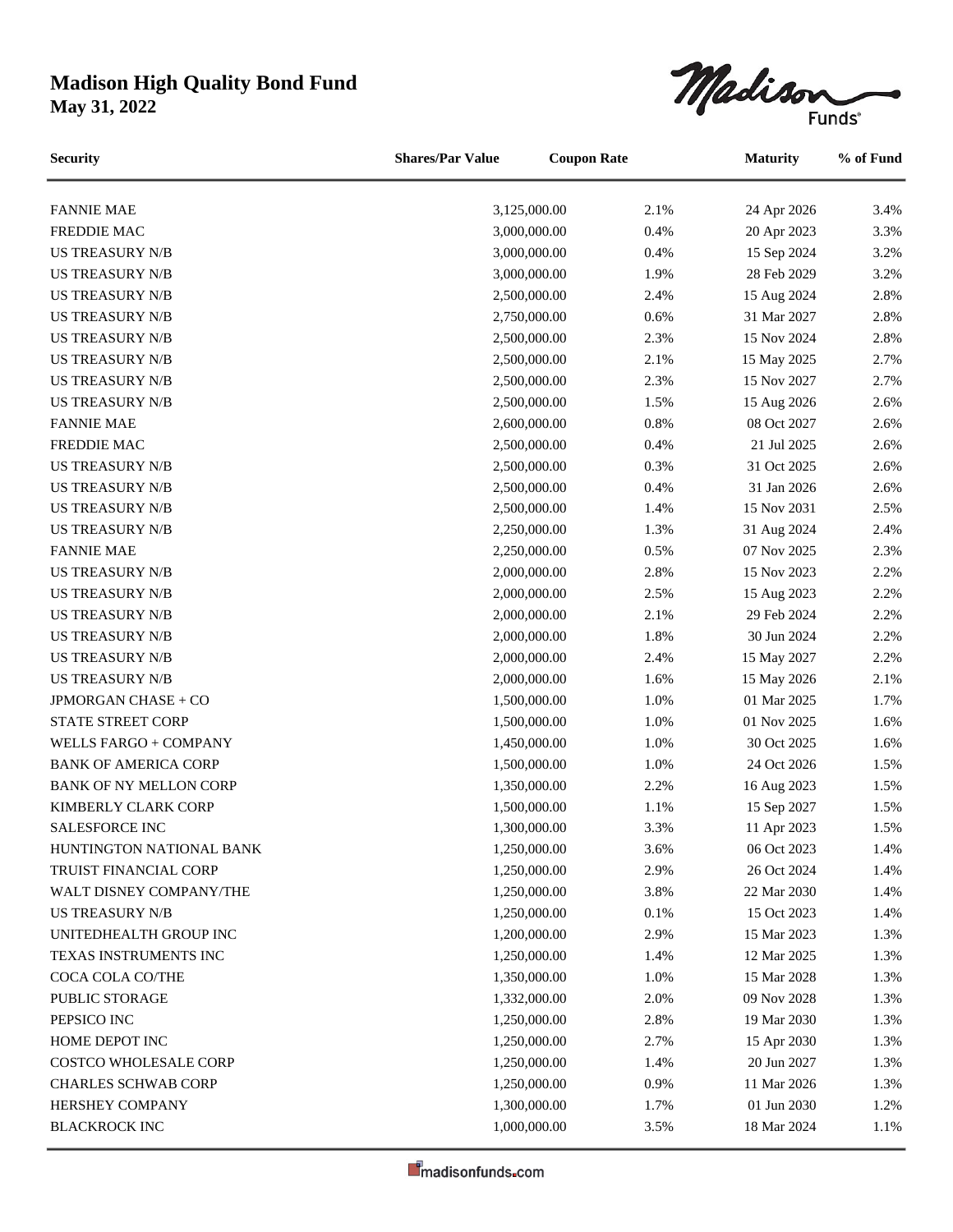## **Madison High Quality Bond Fund**

**May 31, 2022**



| <b>Security</b>               | <b>Shares/Par Value</b> | <b>Coupon Rate</b> |      | <b>Maturity</b> | % of Fund |
|-------------------------------|-------------------------|--------------------|------|-----------------|-----------|
| <b>FANNIE MAE</b>             |                         | 3,125,000.00       | 2.1% | 24 Apr 2026     | 3.4%      |
| <b>FREDDIE MAC</b>            |                         | 3,000,000.00       | 0.4% | 20 Apr 2023     | 3.3%      |
| <b>US TREASURY N/B</b>        |                         | 3,000,000.00       | 0.4% | 15 Sep 2024     | 3.2%      |
| <b>US TREASURY N/B</b>        |                         | 3,000,000.00       | 1.9% | 28 Feb 2029     | 3.2%      |
| <b>US TREASURY N/B</b>        |                         | 2,500,000.00       | 2.4% | 15 Aug 2024     | 2.8%      |
| <b>US TREASURY N/B</b>        |                         | 2,750,000.00       | 0.6% | 31 Mar 2027     | 2.8%      |
| <b>US TREASURY N/B</b>        |                         | 2,500,000.00       | 2.3% | 15 Nov 2024     | 2.8%      |
| <b>US TREASURY N/B</b>        |                         | 2,500,000.00       | 2.1% | 15 May 2025     | 2.7%      |
| <b>US TREASURY N/B</b>        |                         | 2,500,000.00       | 2.3% | 15 Nov 2027     | 2.7%      |
| <b>US TREASURY N/B</b>        |                         | 2,500,000.00       | 1.5% | 15 Aug 2026     | 2.6%      |
| <b>FANNIE MAE</b>             |                         | 2,600,000.00       | 0.8% | 08 Oct 2027     | 2.6%      |
| FREDDIE MAC                   |                         | 2,500,000.00       | 0.4% | 21 Jul 2025     | 2.6%      |
| <b>US TREASURY N/B</b>        |                         | 2,500,000.00       | 0.3% | 31 Oct 2025     | 2.6%      |
| <b>US TREASURY N/B</b>        |                         | 2,500,000.00       | 0.4% | 31 Jan 2026     | 2.6%      |
| <b>US TREASURY N/B</b>        |                         | 2,500,000.00       | 1.4% | 15 Nov 2031     | 2.5%      |
| <b>US TREASURY N/B</b>        |                         | 2,250,000.00       | 1.3% | 31 Aug 2024     | 2.4%      |
| <b>FANNIE MAE</b>             |                         | 2,250,000.00       | 0.5% | 07 Nov 2025     | 2.3%      |
| <b>US TREASURY N/B</b>        |                         | 2,000,000.00       | 2.8% | 15 Nov 2023     | 2.2%      |
| <b>US TREASURY N/B</b>        |                         | 2,000,000.00       | 2.5% | 15 Aug 2023     | 2.2%      |
| <b>US TREASURY N/B</b>        |                         | 2,000,000.00       | 2.1% | 29 Feb 2024     | 2.2%      |
| <b>US TREASURY N/B</b>        |                         | 2,000,000.00       | 1.8% | 30 Jun 2024     | 2.2%      |
| <b>US TREASURY N/B</b>        |                         | 2,000,000.00       | 2.4% | 15 May 2027     | 2.2%      |
| <b>US TREASURY N/B</b>        |                         | 2,000,000.00       | 1.6% | 15 May 2026     | 2.1%      |
| JPMORGAN CHASE + CO           |                         | 1,500,000.00       | 1.0% | 01 Mar 2025     | 1.7%      |
| STATE STREET CORP             |                         | 1,500,000.00       | 1.0% | 01 Nov 2025     | 1.6%      |
| WELLS FARGO + COMPANY         |                         | 1,450,000.00       | 1.0% | 30 Oct 2025     | 1.6%      |
| <b>BANK OF AMERICA CORP</b>   |                         | 1,500,000.00       | 1.0% | 24 Oct 2026     | 1.5%      |
| <b>BANK OF NY MELLON CORP</b> |                         | 1,350,000.00       | 2.2% | 16 Aug 2023     | 1.5%      |
| KIMBERLY CLARK CORP           |                         | 1,500,000.00       | 1.1% | 15 Sep 2027     | 1.5%      |
| SALESFORCE INC                |                         | 1,300,000.00       | 3.3% | 11 Apr 2023     | 1.5%      |
| HUNTINGTON NATIONAL BANK      |                         | 1,250,000.00       | 3.6% | 06 Oct 2023     | 1.4%      |
| <b>TRUIST FINANCIAL CORP</b>  |                         | 1,250,000.00       | 2.9% | 26 Oct 2024     | 1.4%      |
| WALT DISNEY COMPANY/THE       |                         | 1,250,000.00       | 3.8% | 22 Mar 2030     | 1.4%      |
| <b>US TREASURY N/B</b>        |                         | 1,250,000.00       | 0.1% | 15 Oct 2023     | 1.4%      |
| UNITEDHEALTH GROUP INC        |                         | 1,200,000.00       | 2.9% | 15 Mar 2023     | 1.3%      |
| TEXAS INSTRUMENTS INC         |                         | 1,250,000.00       | 1.4% | 12 Mar 2025     | 1.3%      |
| COCA COLA CO/THE              |                         | 1,350,000.00       | 1.0% | 15 Mar 2028     | 1.3%      |
| PUBLIC STORAGE                |                         | 1,332,000.00       | 2.0% | 09 Nov 2028     | 1.3%      |
| PEPSICO INC                   |                         | 1,250,000.00       | 2.8% | 19 Mar 2030     | 1.3%      |
| HOME DEPOT INC                |                         | 1,250,000.00       | 2.7% | 15 Apr 2030     | 1.3%      |
| COSTCO WHOLESALE CORP         |                         | 1,250,000.00       | 1.4% | 20 Jun 2027     | 1.3%      |
| <b>CHARLES SCHWAB CORP</b>    |                         | 1,250,000.00       | 0.9% | 11 Mar 2026     | 1.3%      |
| HERSHEY COMPANY               |                         | 1,300,000.00       | 1.7% | 01 Jun 2030     | 1.2%      |
| <b>BLACKROCK INC</b>          |                         | 1,000,000.00       | 3.5% | 18 Mar 2024     | 1.1%      |